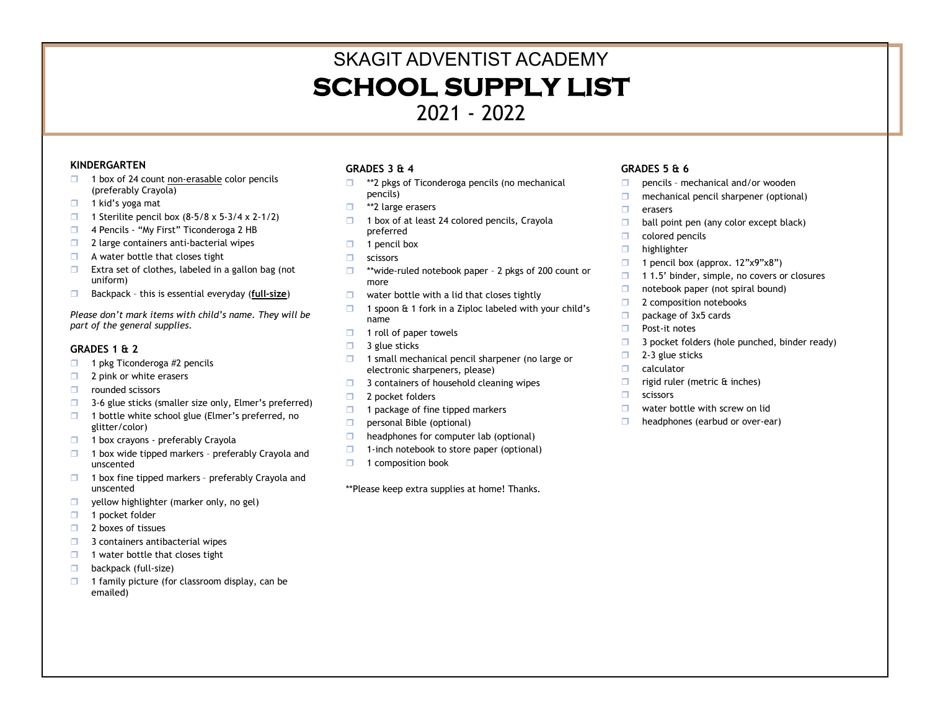## SKAGIT ADVENTIST ACADEMY **SCHOOL SUPPLY LIST** 2021 - 2022

## **KINDERGARTEN**

- $\Box$  1 box of 24 count non-erasable color pencils (preferably Crayola)
- $\Box$  1 kid's yoga mat
- 1 Sterilite pencil box  $(8-5/8 \times 5-3/4 \times 2-1/2)$
- 4 Pencils "My First" Ticonderoga 2 HB
- $\Box$  2 large containers anti-bacterial wipes
- $\Box$  A water bottle that closes tight
- $\Box$  Extra set of clothes, labeled in a gallon bag (not uniform)
- Backpack this is essential everyday (**full-size**)

*Please don't mark items with child's name. They will be part of the general supplies.*

## **GRADES 1 & 2**

- $\Box$  1 pkg Ticonderoga #2 pencils
- $\Box$  2 pink or white erasers
- **D** rounded scissors
- $\Box$  3-6 glue sticks (smaller size only, Elmer's preferred)
- $\Box$  1 bottle white school glue (Elmer's preferred, no glitter/color)
- $\Box$  1 box crayons preferably Crayola
- $\Box$  1 box wide tipped markers preferably Crayola and unscented
- $\Box$  1 box fine tipped markers preferably Crayola and unscented
- $\Box$  yellow highlighter (marker only, no gel)
- $\Box$  1 pocket folder
- 2 boxes of tissues
- $\Box$  3 containers antibacterial wipes
- $\Box$  1 water bottle that closes tight
- **backpack (full-size)**
- $\Box$  1 family picture (for classroom display, can be emailed)

## **GRADES 3 & 4**

- $\Box$  \*\*2 pkgs of Ticonderoga pencils (no mechanical pencils)
- □ \*\*2 large erasers
- 1 box of at least 24 colored pencils, Crayola preferred
- $\Box$  1 pencil box
- **Scissors**
- □ \*\*wide-ruled notebook paper 2 pkgs of 200 count or more
- $\Box$  water bottle with a lid that closes tightly
- $\Box$  1 spoon & 1 fork in a Ziploc labeled with your child's name
- $\Box$  1 roll of paper towels
- $\Box$  3 glue sticks
- $\Box$  1 small mechanical pencil sharpener (no large or electronic sharpeners, please)
- $\Box$  3 containers of household cleaning wipes
- □ 2 pocket folders
- $\Box$  1 package of fine tipped markers
- **personal Bible (optional)**
- $\Box$  headphones for computer lab (optional)
- $\Box$  1-inch notebook to store paper (optional)
- $\Box$  1 composition book

\*\*Please keep extra supplies at home! Thanks.

## **GRADES 5 & 6**

- $\Box$  pencils mechanical and/or wooden
- $\Box$  mechanical pencil sharpener (optional)
- $\Box$  erasers
- $\Box$  ball point pen (any color except black)
- colored pencils
- $\Box$  highlighter
- 1 pencil box (approx.  $12"x9"x8"$ )
- $\Box$  1.5' binder, simple, no covers or closures
- $\Box$  notebook paper (not spiral bound)
- **2** 2 composition notebooks
- □ package of 3x5 cards
- Post-it notes
- $\Box$  3 pocket folders (hole punched, binder ready)
- $\Box$  2-3 glue sticks
- $\Box$  calculator
- $\Box$  rigid ruler (metric  $\&$  inches)
- $\Box$  scissors
- $\Box$  water bottle with screw on lid
- $\Box$  headphones (earbud or over-ear)